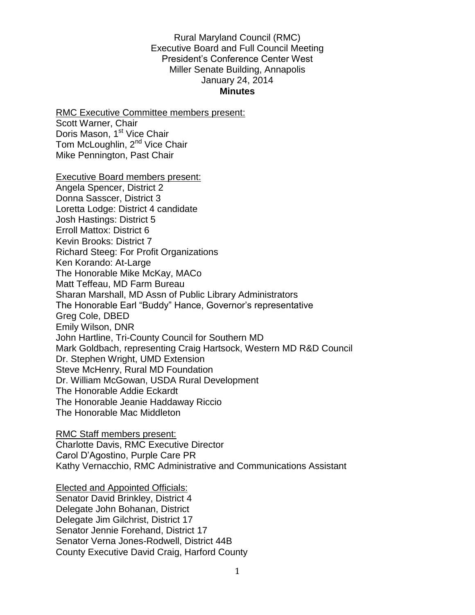#### Rural Maryland Council (RMC) Executive Board and Full Council Meeting President's Conference Center West Miller Senate Building, Annapolis January 24, 2014 **Minutes**

RMC Executive Committee members present: Scott Warner, Chair Doris Mason, 1<sup>st</sup> Vice Chair Tom McLoughlin, 2<sup>nd</sup> Vice Chair Mike Pennington, Past Chair

Executive Board members present: Angela Spencer, District 2 Donna Sasscer, District 3 Loretta Lodge: District 4 candidate Josh Hastings: District 5 Erroll Mattox: District 6 Kevin Brooks: District 7 Richard Steeg: For Profit Organizations Ken Korando: At-Large The Honorable Mike McKay, MACo Matt Teffeau, MD Farm Bureau Sharan Marshall, MD Assn of Public Library Administrators The Honorable Earl "Buddy" Hance, Governor's representative Greg Cole, DBED Emily Wilson, DNR John Hartline, Tri-County Council for Southern MD Mark Goldbach, representing Craig Hartsock, Western MD R&D Council Dr. Stephen Wright, UMD Extension Steve McHenry, Rural MD Foundation Dr. William McGowan, USDA Rural Development The Honorable Addie Eckardt The Honorable Jeanie Haddaway Riccio The Honorable Mac Middleton

RMC Staff members present: Charlotte Davis, RMC Executive Director Carol D'Agostino, Purple Care PR Kathy Vernacchio, RMC Administrative and Communications Assistant

Elected and Appointed Officials: Senator David Brinkley, District 4 Delegate John Bohanan, District Delegate Jim Gilchrist, District 17 Senator Jennie Forehand, District 17 Senator Verna Jones-Rodwell, District 44B County Executive David Craig, Harford County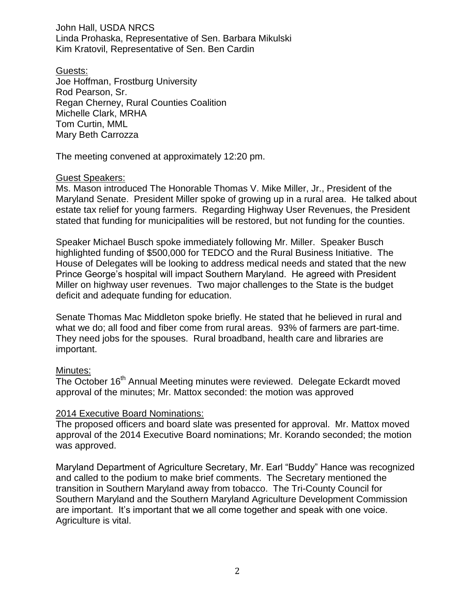John Hall, USDA NRCS Linda Prohaska, Representative of Sen. Barbara Mikulski Kim Kratovil, Representative of Sen. Ben Cardin

Guests: Joe Hoffman, Frostburg University Rod Pearson, Sr. Regan Cherney, Rural Counties Coalition Michelle Clark, MRHA Tom Curtin, MML Mary Beth Carrozza

The meeting convened at approximately 12:20 pm.

# Guest Speakers:

Ms. Mason introduced The Honorable Thomas V. Mike Miller, Jr., President of the Maryland Senate. President Miller spoke of growing up in a rural area. He talked about estate tax relief for young farmers. Regarding Highway User Revenues, the President stated that funding for municipalities will be restored, but not funding for the counties.

Speaker Michael Busch spoke immediately following Mr. Miller. Speaker Busch highlighted funding of \$500,000 for TEDCO and the Rural Business Initiative. The House of Delegates will be looking to address medical needs and stated that the new Prince George's hospital will impact Southern Maryland. He agreed with President Miller on highway user revenues. Two major challenges to the State is the budget deficit and adequate funding for education.

Senate Thomas Mac Middleton spoke briefly. He stated that he believed in rural and what we do; all food and fiber come from rural areas. 93% of farmers are part-time. They need jobs for the spouses. Rural broadband, health care and libraries are important.

# Minutes:

The October 16<sup>th</sup> Annual Meeting minutes were reviewed. Delegate Eckardt moved approval of the minutes; Mr. Mattox seconded: the motion was approved

# 2014 Executive Board Nominations:

The proposed officers and board slate was presented for approval. Mr. Mattox moved approval of the 2014 Executive Board nominations; Mr. Korando seconded; the motion was approved.

Maryland Department of Agriculture Secretary, Mr. Earl "Buddy" Hance was recognized and called to the podium to make brief comments. The Secretary mentioned the transition in Southern Maryland away from tobacco. The Tri-County Council for Southern Maryland and the Southern Maryland Agriculture Development Commission are important. It's important that we all come together and speak with one voice. Agriculture is vital.